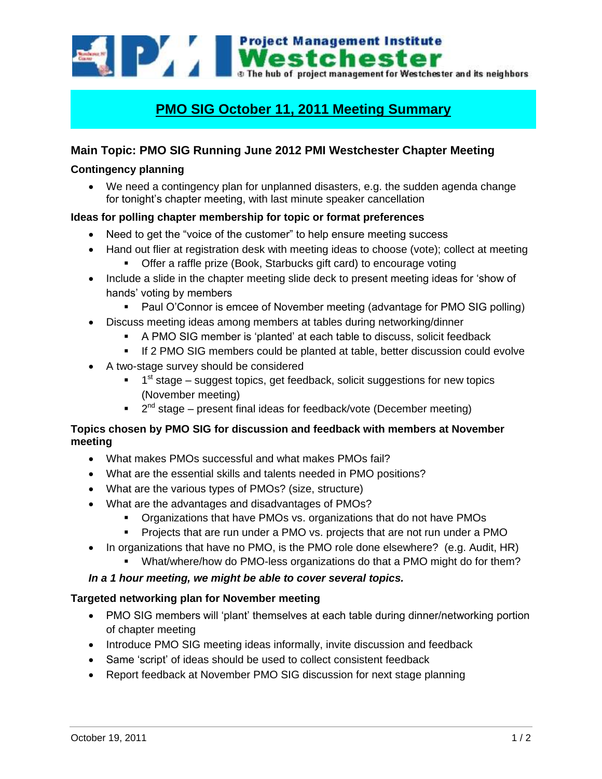Westchester The hub of project management for Westchester and its neighbors

# **PMO SIG October 11, 2011 Meeting Summary**

## **Main Topic: PMO SIG Running June 2012 PMI Westchester Chapter Meeting**

#### **Contingency planning**

 We need a contingency plan for unplanned disasters, e.g. the sudden agenda change for tonight's chapter meeting, with last minute speaker cancellation

#### **Ideas for polling chapter membership for topic or format preferences**

- Need to get the "voice of the customer" to help ensure meeting success
- Hand out flier at registration desk with meeting ideas to choose (vote); collect at meeting
	- **•** Offer a raffle prize (Book, Starbucks gift card) to encourage voting
- Include a slide in the chapter meeting slide deck to present meeting ideas for 'show of hands" voting by members
	- Paul O'Connor is emcee of November meeting (advantage for PMO SIG polling)
- Discuss meeting ideas among members at tables during networking/dinner
	- A PMO SIG member is "planted" at each table to discuss, solicit feedback
	- **If 2 PMO SIG members could be planted at table, better discussion could evolve**
- A two-stage survey should be considered
	- <sup>1</sup> 1<sup>st</sup> stage suggest topics, get feedback, solicit suggestions for new topics (November meeting)
	- $\blacksquare$  2<sup>nd</sup> stage present final ideas for feedback/vote (December meeting)

#### **Topics chosen by PMO SIG for discussion and feedback with members at November meeting**

- What makes PMOs successful and what makes PMOs fail?
- What are the essential skills and talents needed in PMO positions?
- What are the various types of PMOs? (size, structure)
- What are the advantages and disadvantages of PMOs?
	- **•** Organizations that have PMOs vs. organizations that do not have PMOs
	- Projects that are run under a PMO vs. projects that are not run under a PMO
- In organizations that have no PMO, is the PMO role done elsewhere? (e.g. Audit, HR)
	- **What/where/how do PMO-less organizations do that a PMO might do for them?**

### *In a 1 hour meeting, we might be able to cover several topics.*

#### **Targeted networking plan for November meeting**

- PMO SIG members will "plant" themselves at each table during dinner/networking portion of chapter meeting
- Introduce PMO SIG meeting ideas informally, invite discussion and feedback
- Same 'script' of ideas should be used to collect consistent feedback
- Report feedback at November PMO SIG discussion for next stage planning